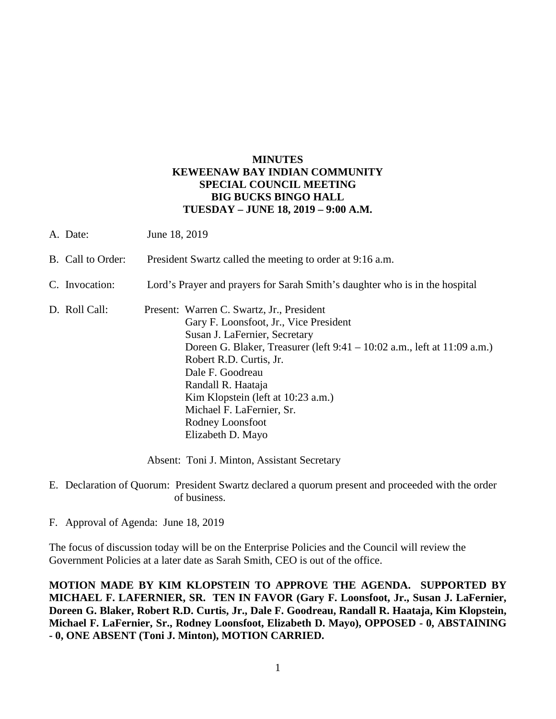## **MINUTES KEWEENAW BAY INDIAN COMMUNITY SPECIAL COUNCIL MEETING BIG BUCKS BINGO HALL TUESDAY – JUNE 18, 2019 – 9:00 A.M.**

| A. Date:          | June 18, 2019                                                                                                                                                                                                                                                                                                                                                                     |
|-------------------|-----------------------------------------------------------------------------------------------------------------------------------------------------------------------------------------------------------------------------------------------------------------------------------------------------------------------------------------------------------------------------------|
| B. Call to Order: | President Swartz called the meeting to order at 9:16 a.m.                                                                                                                                                                                                                                                                                                                         |
| C. Invocation:    | Lord's Prayer and prayers for Sarah Smith's daughter who is in the hospital                                                                                                                                                                                                                                                                                                       |
| D. Roll Call:     | Present: Warren C. Swartz, Jr., President<br>Gary F. Loonsfoot, Jr., Vice President<br>Susan J. LaFernier, Secretary<br>Doreen G. Blaker, Treasurer (left 9:41 – 10:02 a.m., left at 11:09 a.m.)<br>Robert R.D. Curtis, Jr.<br>Dale F. Goodreau<br>Randall R. Haataja<br>Kim Klopstein (left at 10:23 a.m.)<br>Michael F. LaFernier, Sr.<br>Rodney Loonsfoot<br>Elizabeth D. Mayo |

Absent: Toni J. Minton, Assistant Secretary

- E. Declaration of Quorum: President Swartz declared a quorum present and proceeded with the order of business.
- F. Approval of Agenda: June 18, 2019

The focus of discussion today will be on the Enterprise Policies and the Council will review the Government Policies at a later date as Sarah Smith, CEO is out of the office.

**MOTION MADE BY KIM KLOPSTEIN TO APPROVE THE AGENDA. SUPPORTED BY MICHAEL F. LAFERNIER, SR. TEN IN FAVOR (Gary F. Loonsfoot, Jr., Susan J. LaFernier, Doreen G. Blaker, Robert R.D. Curtis, Jr., Dale F. Goodreau, Randall R. Haataja, Kim Klopstein, Michael F. LaFernier, Sr., Rodney Loonsfoot, Elizabeth D. Mayo), OPPOSED - 0, ABSTAINING - 0, ONE ABSENT (Toni J. Minton), MOTION CARRIED.**